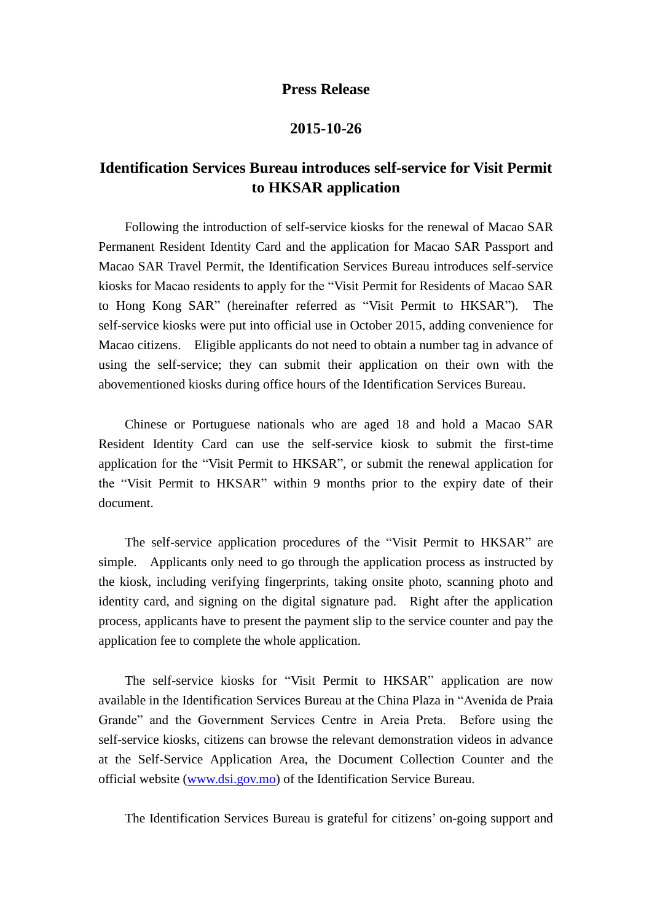## **Press Release**

## **2015-10-26**

## **Identification Services Bureau introduces self-service for Visit Permit to HKSAR application**

Following the introduction of self-service kiosks for the renewal of Macao SAR Permanent Resident Identity Card and the application for Macao SAR Passport and Macao SAR Travel Permit, the Identification Services Bureau introduces self-service kiosks for Macao residents to apply for the "Visit Permit for Residents of Macao SAR to Hong Kong SAR" (hereinafter referred as "Visit Permit to HKSAR"). The self-service kiosks were put into official use in October 2015, adding convenience for Macao citizens. Eligible applicants do not need to obtain a number tag in advance of using the self-service; they can submit their application on their own with the abovementioned kiosks during office hours of the Identification Services Bureau.

Chinese or Portuguese nationals who are aged 18 and hold a Macao SAR Resident Identity Card can use the self-service kiosk to submit the first-time application for the "Visit Permit to HKSAR", or submit the renewal application for the "Visit Permit to HKSAR" within 9 months prior to the expiry date of their document.

The self-service application procedures of the "Visit Permit to HKSAR" are simple. Applicants only need to go through the application process as instructed by the kiosk, including verifying fingerprints, taking onsite photo, scanning photo and identity card, and signing on the digital signature pad. Right after the application process, applicants have to present the payment slip to the service counter and pay the application fee to complete the whole application.

The self-service kiosks for "Visit Permit to HKSAR" application are now available in the Identification Services Bureau at the China Plaza in "Avenida de Praia Grande" and the Government Services Centre in Areia Preta. Before using the self-service kiosks, citizens can browse the relevant demonstration videos in advance at the Self-Service Application Area, the Document Collection Counter and the official website [\(www.dsi.gov.mo\)](http://www.dsi.gov.mo/) of the Identification Service Bureau.

The Identification Services Bureau is grateful for citizens' on-going support and